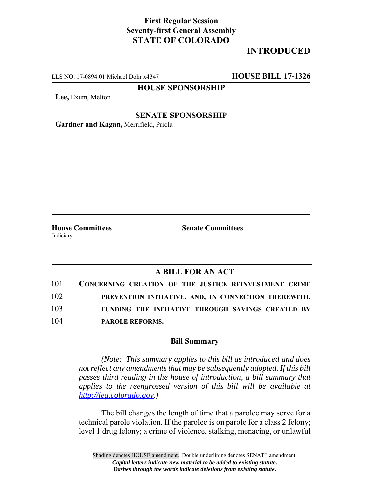## **First Regular Session Seventy-first General Assembly STATE OF COLORADO**

# **INTRODUCED**

LLS NO. 17-0894.01 Michael Dohr x4347 **HOUSE BILL 17-1326**

## **HOUSE SPONSORSHIP**

**Lee,** Exum, Melton

### **SENATE SPONSORSHIP**

**Gardner and Kagan,** Merrifield, Priola

**House Committees Senate Committees** Judiciary

### **A BILL FOR AN ACT**

| 101 | CONCERNING CREATION OF THE JUSTICE REINVESTMENT CRIME |
|-----|-------------------------------------------------------|
| 102 | PREVENTION INITIATIVE, AND, IN CONNECTION THEREWITH,  |
| 103 | FUNDING THE INITIATIVE THROUGH SAVINGS CREATED BY     |
| 104 | <b>PAROLE REFORMS.</b>                                |

#### **Bill Summary**

*(Note: This summary applies to this bill as introduced and does not reflect any amendments that may be subsequently adopted. If this bill passes third reading in the house of introduction, a bill summary that applies to the reengrossed version of this bill will be available at http://leg.colorado.gov.)*

The bill changes the length of time that a parolee may serve for a technical parole violation. If the parolee is on parole for a class 2 felony; level 1 drug felony; a crime of violence, stalking, menacing, or unlawful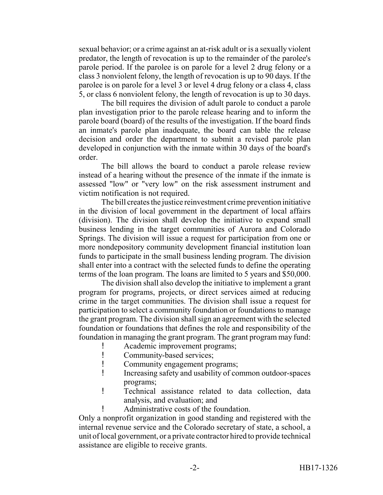sexual behavior; or a crime against an at-risk adult or is a sexually violent predator, the length of revocation is up to the remainder of the parolee's parole period. If the parolee is on parole for a level 2 drug felony or a class 3 nonviolent felony, the length of revocation is up to 90 days. If the parolee is on parole for a level 3 or level 4 drug felony or a class 4, class 5, or class 6 nonviolent felony, the length of revocation is up to 30 days.

The bill requires the division of adult parole to conduct a parole plan investigation prior to the parole release hearing and to inform the parole board (board) of the results of the investigation. If the board finds an inmate's parole plan inadequate, the board can table the release decision and order the department to submit a revised parole plan developed in conjunction with the inmate within 30 days of the board's order.

The bill allows the board to conduct a parole release review instead of a hearing without the presence of the inmate if the inmate is assessed "low" or "very low" on the risk assessment instrument and victim notification is not required.

The bill creates the justice reinvestment crime prevention initiative in the division of local government in the department of local affairs (division). The division shall develop the initiative to expand small business lending in the target communities of Aurora and Colorado Springs. The division will issue a request for participation from one or more nondepository community development financial institution loan funds to participate in the small business lending program. The division shall enter into a contract with the selected funds to define the operating terms of the loan program. The loans are limited to 5 years and \$50,000.

The division shall also develop the initiative to implement a grant program for programs, projects, or direct services aimed at reducing crime in the target communities. The division shall issue a request for participation to select a community foundation or foundations to manage the grant program. The division shall sign an agreement with the selected foundation or foundations that defines the role and responsibility of the foundation in managing the grant program. The grant program may fund:

- Academic improvement programs;
- ! Community-based services;
- ! Community engagement programs;
- ! Increasing safety and usability of common outdoor-spaces programs;
- ! Technical assistance related to data collection, data analysis, and evaluation; and
	- Administrative costs of the foundation.

Only a nonprofit organization in good standing and registered with the internal revenue service and the Colorado secretary of state, a school, a unit of local government, or a private contractor hired to provide technical assistance are eligible to receive grants.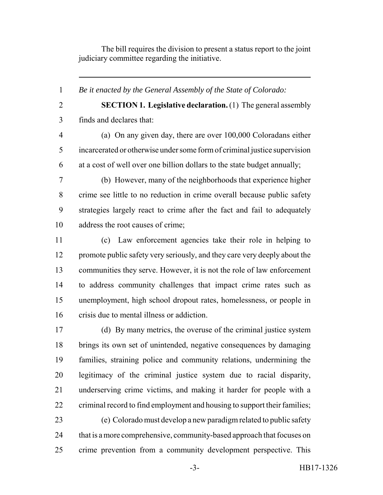The bill requires the division to present a status report to the joint judiciary committee regarding the initiative.

*Be it enacted by the General Assembly of the State of Colorado:*

**SECTION 1. Legislative declaration.** (1) The general assembly

finds and declares that:

 (a) On any given day, there are over 100,000 Coloradans either incarcerated or otherwise under some form of criminal justice supervision at a cost of well over one billion dollars to the state budget annually;

 (b) However, many of the neighborhoods that experience higher crime see little to no reduction in crime overall because public safety strategies largely react to crime after the fact and fail to adequately address the root causes of crime;

 (c) Law enforcement agencies take their role in helping to 12 promote public safety very seriously, and they care very deeply about the communities they serve. However, it is not the role of law enforcement to address community challenges that impact crime rates such as unemployment, high school dropout rates, homelessness, or people in crisis due to mental illness or addiction.

 (d) By many metrics, the overuse of the criminal justice system brings its own set of unintended, negative consequences by damaging families, straining police and community relations, undermining the legitimacy of the criminal justice system due to racial disparity, underserving crime victims, and making it harder for people with a 22 criminal record to find employment and housing to support their families;

 (e) Colorado must develop a new paradigm related to public safety 24 that is a more comprehensive, community-based approach that focuses on crime prevention from a community development perspective. This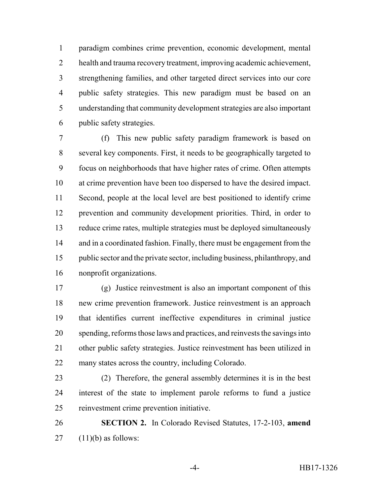paradigm combines crime prevention, economic development, mental health and trauma recovery treatment, improving academic achievement, strengthening families, and other targeted direct services into our core public safety strategies. This new paradigm must be based on an understanding that community development strategies are also important public safety strategies.

 (f) This new public safety paradigm framework is based on several key components. First, it needs to be geographically targeted to focus on neighborhoods that have higher rates of crime. Often attempts at crime prevention have been too dispersed to have the desired impact. Second, people at the local level are best positioned to identify crime prevention and community development priorities. Third, in order to reduce crime rates, multiple strategies must be deployed simultaneously 14 and in a coordinated fashion. Finally, there must be engagement from the public sector and the private sector, including business, philanthropy, and nonprofit organizations.

 (g) Justice reinvestment is also an important component of this new crime prevention framework. Justice reinvestment is an approach that identifies current ineffective expenditures in criminal justice spending, reforms those laws and practices, and reinvests the savings into other public safety strategies. Justice reinvestment has been utilized in many states across the country, including Colorado.

 (2) Therefore, the general assembly determines it is in the best interest of the state to implement parole reforms to fund a justice reinvestment crime prevention initiative.

 **SECTION 2.** In Colorado Revised Statutes, 17-2-103, **amend** (11)(b) as follows: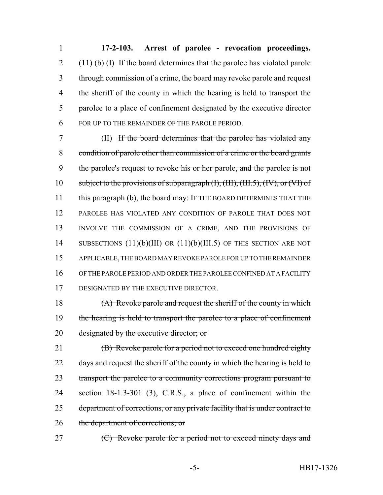**17-2-103. Arrest of parolee - revocation proceedings.** (11) (b) (I) If the board determines that the parolee has violated parole through commission of a crime, the board may revoke parole and request the sheriff of the county in which the hearing is held to transport the parolee to a place of confinement designated by the executive director FOR UP TO THE REMAINDER OF THE PAROLE PERIOD.

7 (II) If the board determines that the parolee has violated any 8 condition of parole other than commission of a crime or the board grants 9 the parolee's request to revoke his or her parole, and the parolee is not 10 subject to the provisions of subparagraph (I), (III), (III.5), (IV), or (VI) of 11 this paragraph (b), the board may: IF THE BOARD DETERMINES THAT THE 12 PAROLEE HAS VIOLATED ANY CONDITION OF PAROLE THAT DOES NOT 13 INVOLVE THE COMMISSION OF A CRIME, AND THE PROVISIONS OF 14 SUBSECTIONS (11)(b)(III) OR (11)(b)(III.5) OF THIS SECTION ARE NOT 15 APPLICABLE, THE BOARD MAY REVOKE PAROLE FOR UP TO THE REMAINDER 16 OF THE PAROLE PERIOD AND ORDER THE PAROLEE CONFINED AT A FACILITY 17 DESIGNATED BY THE EXECUTIVE DIRECTOR.

18 (A) Revoke parole and request the sheriff of the county in which 19 the hearing is held to transport the parolee to a place of confinement 20 designated by the executive director; or

21 **(B)** Revoke parole for a period not to exceed one hundred eighty 22 days and request the sheriff of the county in which the hearing is held to 23 transport the parolee to a community corrections program pursuant to 24 section 18-1.3-301 (3), C.R.S., a place of confinement within the 25 department of corrections, or any private facility that is under contract to 26 the department of corrections; or

27 (C) Revoke parole for a period not to exceed ninety days and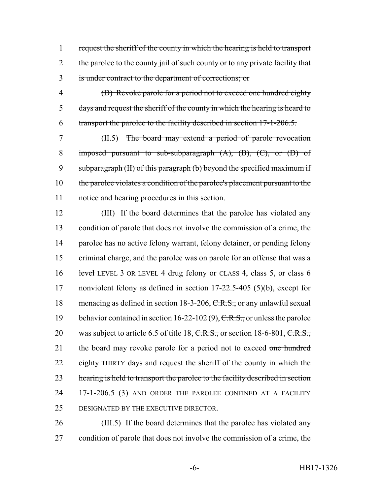request the sheriff of the county in which the hearing is held to transport 2 the parolee to the county jail of such county or to any private facility that is under contract to the department of corrections; or

 (D) Revoke parole for a period not to exceed one hundred eighty days and request the sheriff of the county in which the hearing is heard to transport the parolee to the facility described in section 17-1-206.5.

 (II.5) The board may extend a period of parole revocation 8 imposed pursuant to sub-subparagraph (A), (B), (C), or (D) of subparagraph (II) of this paragraph (b) beyond the specified maximum if the parolee violates a condition of the parolee's placement pursuant to the notice and hearing procedures in this section.

 (III) If the board determines that the parolee has violated any condition of parole that does not involve the commission of a crime, the parolee has no active felony warrant, felony detainer, or pending felony criminal charge, and the parolee was on parole for an offense that was a 16 level LEVEL 3 OR LEVEL 4 drug felony or CLASS 4, class 5, or class 6 nonviolent felony as defined in section 17-22.5-405 (5)(b), except for 18 menacing as defined in section 18-3-206, C.R.S., or any unlawful sexual 19 behavior contained in section 16-22-102 (9),  $C.R.S.,$  or unless the parolee 20 was subject to article 6.5 of title 18,  $C.R.S.,$  or section 18-6-801,  $C.R.S.,$ 21 the board may revoke parole for a period not to exceed one hundred 22 eighty THIRTY days and request the sheriff of the county in which the 23 hearing is held to transport the parolee to the facility described in section 24 17-1-206.5 (3) AND ORDER THE PAROLEE CONFINED AT A FACILITY DESIGNATED BY THE EXECUTIVE DIRECTOR.

 (III.5) If the board determines that the parolee has violated any condition of parole that does not involve the commission of a crime, the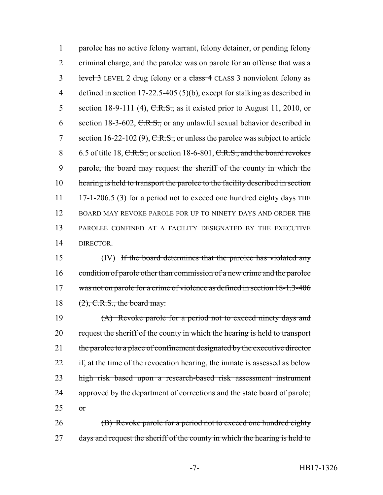1 parolee has no active felony warrant, felony detainer, or pending felony 2 criminal charge, and the parolee was on parole for an offense that was a 3 level 3 LEVEL 2 drug felony or a class 4 CLASS 3 nonviolent felony as 4 defined in section 17-22.5-405 (5)(b), except for stalking as described in 5 section 18-9-111 (4),  $C.R.S.,$  as it existed prior to August 11, 2010, or 6 section 18-3-602,  $C.R.S.,$  or any unlawful sexual behavior described in 7 section 16-22-102 (9),  $C.R.S.,$  or unless the parolee was subject to article 8 6.5 of title 18, C.R.S., or section 18-6-801, C.R.S., and the board revokes 9 parole, the board may request the sheriff of the county in which the 10 hearing is held to transport the parolee to the facility described in section 11  $17-1-206.5$  (3) for a period not to exceed one hundred eighty days THE 12 BOARD MAY REVOKE PAROLE FOR UP TO NINETY DAYS AND ORDER THE 13 PAROLEE CONFINED AT A FACILITY DESIGNATED BY THE EXECUTIVE 14 DIRECTOR.

15 (IV) If the board determines that the parolee has violated any 16 condition of parole other than commission of a new crime and the parolee 17 was not on parole for a crime of violence as defined in section 18-1.3-406 18  $(2)$ , C.R.S., the board may:

19 (A) Revoke parole for a period not to exceed ninety days and 20 request the sheriff of the county in which the hearing is held to transport 21 the parolee to a place of confinement designated by the executive director 22 if, at the time of the revocation hearing, the inmate is assessed as below 23 high risk based upon a research-based risk assessment instrument 24 approved by the department of corrections and the state board of parole;  $25$  or

26 **(B)** Revoke parole for a period not to exceed one hundred eighty 27 days and request the sheriff of the county in which the hearing is held to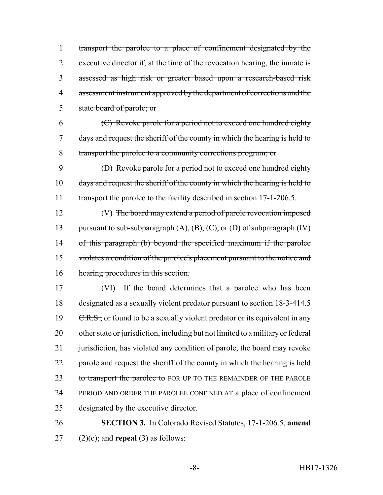transport the parolee to a place of confinement designated by the 2 executive director if, at the time of the revocation hearing, the inmate is assessed as high risk or greater based upon a research-based risk assessment instrument approved by the department of corrections and the state board of parole; or

 (C) Revoke parole for a period not to exceed one hundred eighty days and request the sheriff of the county in which the hearing is held to transport the parolee to a community corrections program; or

 (D) Revoke parole for a period not to exceed one hundred eighty 10 days and request the sheriff of the county in which the hearing is held to 11 transport the parolee to the facility described in section 17-1-206.5.

 (V) The board may extend a period of parole revocation imposed 13 pursuant to sub-subparagraph  $(A)$ ,  $(B)$ ,  $(C)$ , or  $(D)$  of subparagraph  $(W)$  of this paragraph (b) beyond the specified maximum if the parolee violates a condition of the parolee's placement pursuant to the notice and hearing procedures in this section.

 (VI) If the board determines that a parolee who has been designated as a sexually violent predator pursuant to section 18-3-414.5  $C.R.S.,$  or found to be a sexually violent predator or its equivalent in any other state or jurisdiction, including but not limited to a military or federal 21 jurisdiction, has violated any condition of parole, the board may revoke 22 parole and request the sheriff of the county in which the hearing is held 23 to transport the parolee to FOR UP TO THE REMAINDER OF THE PAROLE PERIOD AND ORDER THE PAROLEE CONFINED AT a place of confinement designated by the executive director.

 **SECTION 3.** In Colorado Revised Statutes, 17-1-206.5, **amend** (2)(c); and **repeal** (3) as follows: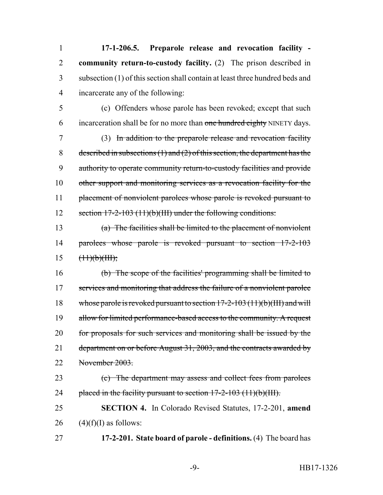**17-1-206.5. Preparole release and revocation facility - community return-to-custody facility.** (2) The prison described in subsection (1) of this section shall contain at least three hundred beds and incarcerate any of the following:

 (c) Offenders whose parole has been revoked; except that such 6 incarceration shall be for no more than one hundred eighty NINETY days.

 (3) In addition to the preparole release and revocation facility 8 described in subsections  $(1)$  and  $(2)$  of this section, the department has the authority to operate community return-to-custody facilities and provide other support and monitoring services as a revocation facility for the 11 placement of nonviolent parolees whose parole is revoked pursuant to section 17-2-103 (11)(b)(III) under the following conditions:

 (a) The facilities shall be limited to the placement of nonviolent parolees whose parole is revoked pursuant to section 17-2-103  $15 \frac{(\text{11})(\text{b})(\text{III})}{(\text{11})(\text{b})(\text{III})}$ 

 (b) The scope of the facilities' programming shall be limited to 17 services and monitoring that address the failure of a nonviolent parolee whose parole is revoked pursuant to section 17-2-103 (11)(b)(III) and will 19 allow for limited performance-based access to the community. A request for proposals for such services and monitoring shall be issued by the 21 department on or before August 31, 2003, and the contracts awarded by November 2003.

 (c) The department may assess and collect fees from parolees 24 placed in the facility pursuant to section  $17-2-103$  (11)(b)(III).

 **SECTION 4.** In Colorado Revised Statutes, 17-2-201, **amend** 26  $(4)(f)(I)$  as follows:

**17-2-201. State board of parole - definitions.** (4) The board has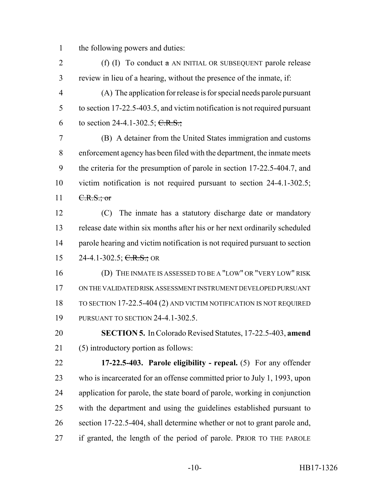the following powers and duties:

2 (f) (I) To conduct  $\alpha$  AN INITIAL OR SUBSEQUENT parole release review in lieu of a hearing, without the presence of the inmate, if:

 (A) The application for release is for special needs parole pursuant to section 17-22.5-403.5, and victim notification is not required pursuant 6 to section 24-4.1-302.5; C.R.S.;

 (B) A detainer from the United States immigration and customs enforcement agency has been filed with the department, the inmate meets the criteria for the presumption of parole in section 17-22.5-404.7, and victim notification is not required pursuant to section 24-4.1-302.5;  $11 \quad \text{C.R.S.;}$  or

 (C) The inmate has a statutory discharge date or mandatory release date within six months after his or her next ordinarily scheduled parole hearing and victim notification is not required pursuant to section 15 24-4.1-302.5;  $C.R.S.:$  OR

 (D) THE INMATE IS ASSESSED TO BE A "LOW" OR "VERY LOW" RISK ON THE VALIDATED RISK ASSESSMENT INSTRUMENT DEVELOPED PURSUANT TO SECTION 17-22.5-404 (2) AND VICTIM NOTIFICATION IS NOT REQUIRED PURSUANT TO SECTION 24-4.1-302.5.

 **SECTION 5.** In Colorado Revised Statutes, 17-22.5-403, **amend** (5) introductory portion as follows:

 **17-22.5-403. Parole eligibility - repeal.** (5) For any offender who is incarcerated for an offense committed prior to July 1, 1993, upon application for parole, the state board of parole, working in conjunction with the department and using the guidelines established pursuant to section 17-22.5-404, shall determine whether or not to grant parole and, if granted, the length of the period of parole. PRIOR TO THE PAROLE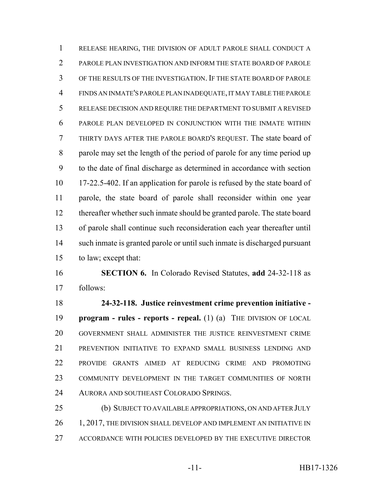RELEASE HEARING, THE DIVISION OF ADULT PAROLE SHALL CONDUCT A PAROLE PLAN INVESTIGATION AND INFORM THE STATE BOARD OF PAROLE OF THE RESULTS OF THE INVESTIGATION. IF THE STATE BOARD OF PAROLE FINDS AN INMATE'S PAROLE PLAN INADEQUATE, IT MAY TABLE THE PAROLE RELEASE DECISION AND REQUIRE THE DEPARTMENT TO SUBMIT A REVISED PAROLE PLAN DEVELOPED IN CONJUNCTION WITH THE INMATE WITHIN THIRTY DAYS AFTER THE PAROLE BOARD'S REQUEST. The state board of parole may set the length of the period of parole for any time period up to the date of final discharge as determined in accordance with section 17-22.5-402. If an application for parole is refused by the state board of parole, the state board of parole shall reconsider within one year thereafter whether such inmate should be granted parole. The state board of parole shall continue such reconsideration each year thereafter until such inmate is granted parole or until such inmate is discharged pursuant to law; except that:

 **SECTION 6.** In Colorado Revised Statutes, **add** 24-32-118 as follows:

 **24-32-118. Justice reinvestment crime prevention initiative - program - rules - reports - repeal.** (1) (a) THE DIVISION OF LOCAL GOVERNMENT SHALL ADMINISTER THE JUSTICE REINVESTMENT CRIME PREVENTION INITIATIVE TO EXPAND SMALL BUSINESS LENDING AND PROVIDE GRANTS AIMED AT REDUCING CRIME AND PROMOTING COMMUNITY DEVELOPMENT IN THE TARGET COMMUNITIES OF NORTH AURORA AND SOUTHEAST COLORADO SPRINGS.

 (b) SUBJECT TO AVAILABLE APPROPRIATIONS, ON AND AFTER JULY 26 1, 2017, THE DIVISION SHALL DEVELOP AND IMPLEMENT AN INITIATIVE IN ACCORDANCE WITH POLICIES DEVELOPED BY THE EXECUTIVE DIRECTOR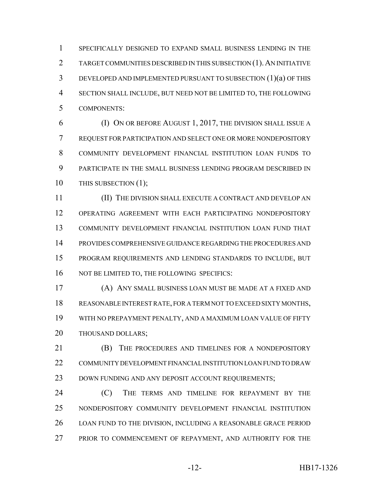SPECIFICALLY DESIGNED TO EXPAND SMALL BUSINESS LENDING IN THE TARGET COMMUNITIES DESCRIBED IN THIS SUBSECTION (1).AN INITIATIVE DEVELOPED AND IMPLEMENTED PURSUANT TO SUBSECTION (1)(a) OF THIS SECTION SHALL INCLUDE, BUT NEED NOT BE LIMITED TO, THE FOLLOWING COMPONENTS:

 (I) ON OR BEFORE AUGUST 1, 2017, THE DIVISION SHALL ISSUE A REQUEST FOR PARTICIPATION AND SELECT ONE OR MORE NONDEPOSITORY COMMUNITY DEVELOPMENT FINANCIAL INSTITUTION LOAN FUNDS TO PARTICIPATE IN THE SMALL BUSINESS LENDING PROGRAM DESCRIBED IN 10 THIS SUBSECTION (1);

 (II) THE DIVISION SHALL EXECUTE A CONTRACT AND DEVELOP AN OPERATING AGREEMENT WITH EACH PARTICIPATING NONDEPOSITORY COMMUNITY DEVELOPMENT FINANCIAL INSTITUTION LOAN FUND THAT PROVIDES COMPREHENSIVE GUIDANCE REGARDING THE PROCEDURES AND PROGRAM REQUIREMENTS AND LENDING STANDARDS TO INCLUDE, BUT 16 NOT BE LIMITED TO, THE FOLLOWING SPECIFICS:

 (A) ANY SMALL BUSINESS LOAN MUST BE MADE AT A FIXED AND REASONABLE INTEREST RATE, FOR A TERM NOT TO EXCEED SIXTY MONTHS, WITH NO PREPAYMENT PENALTY, AND A MAXIMUM LOAN VALUE OF FIFTY THOUSAND DOLLARS;

**(B)** THE PROCEDURES AND TIMELINES FOR A NONDEPOSITORY COMMUNITY DEVELOPMENT FINANCIAL INSTITUTION LOAN FUND TO DRAW 23 DOWN FUNDING AND ANY DEPOSIT ACCOUNT REQUIREMENTS;

**(C)** THE TERMS AND TIMELINE FOR REPAYMENT BY THE NONDEPOSITORY COMMUNITY DEVELOPMENT FINANCIAL INSTITUTION LOAN FUND TO THE DIVISION, INCLUDING A REASONABLE GRACE PERIOD 27 PRIOR TO COMMENCEMENT OF REPAYMENT, AND AUTHORITY FOR THE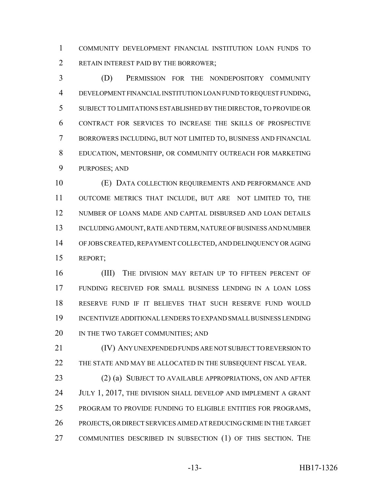COMMUNITY DEVELOPMENT FINANCIAL INSTITUTION LOAN FUNDS TO RETAIN INTEREST PAID BY THE BORROWER;

 (D) PERMISSION FOR THE NONDEPOSITORY COMMUNITY DEVELOPMENT FINANCIAL INSTITUTION LOAN FUND TO REQUEST FUNDING, SUBJECT TO LIMITATIONS ESTABLISHED BY THE DIRECTOR, TO PROVIDE OR CONTRACT FOR SERVICES TO INCREASE THE SKILLS OF PROSPECTIVE BORROWERS INCLUDING, BUT NOT LIMITED TO, BUSINESS AND FINANCIAL EDUCATION, MENTORSHIP, OR COMMUNITY OUTREACH FOR MARKETING PURPOSES; AND

 (E) DATA COLLECTION REQUIREMENTS AND PERFORMANCE AND OUTCOME METRICS THAT INCLUDE, BUT ARE NOT LIMITED TO, THE NUMBER OF LOANS MADE AND CAPITAL DISBURSED AND LOAN DETAILS INCLUDING AMOUNT, RATE AND TERM, NATURE OF BUSINESS AND NUMBER OF JOBS CREATED, REPAYMENT COLLECTED, AND DELINQUENCY OR AGING REPORT;

16 (III) THE DIVISION MAY RETAIN UP TO FIFTEEN PERCENT OF FUNDING RECEIVED FOR SMALL BUSINESS LENDING IN A LOAN LOSS RESERVE FUND IF IT BELIEVES THAT SUCH RESERVE FUND WOULD INCENTIVIZE ADDITIONAL LENDERS TO EXPAND SMALL BUSINESS LENDING 20 IN THE TWO TARGET COMMUNITIES; AND

 (IV) ANY UNEXPENDED FUNDS ARE NOT SUBJECT TO REVERSION TO THE STATE AND MAY BE ALLOCATED IN THE SUBSEQUENT FISCAL YEAR.

 (2) (a) SUBJECT TO AVAILABLE APPROPRIATIONS, ON AND AFTER 24 JULY 1, 2017, THE DIVISION SHALL DEVELOP AND IMPLEMENT A GRANT PROGRAM TO PROVIDE FUNDING TO ELIGIBLE ENTITIES FOR PROGRAMS, PROJECTS, OR DIRECT SERVICES AIMED AT REDUCING CRIME IN THE TARGET COMMUNITIES DESCRIBED IN SUBSECTION (1) OF THIS SECTION. THE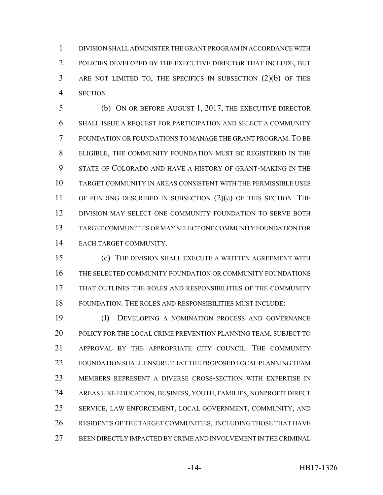DIVISION SHALL ADMINISTER THE GRANT PROGRAM IN ACCORDANCE WITH POLICIES DEVELOPED BY THE EXECUTIVE DIRECTOR THAT INCLUDE, BUT ARE NOT LIMITED TO, THE SPECIFICS IN SUBSECTION (2)(b) OF THIS SECTION.

 (b) ON OR BEFORE AUGUST 1, 2017, THE EXECUTIVE DIRECTOR SHALL ISSUE A REQUEST FOR PARTICIPATION AND SELECT A COMMUNITY FOUNDATION OR FOUNDATIONS TO MANAGE THE GRANT PROGRAM. TO BE ELIGIBLE, THE COMMUNITY FOUNDATION MUST BE REGISTERED IN THE STATE OF COLORADO AND HAVE A HISTORY OF GRANT-MAKING IN THE TARGET COMMUNITY IN AREAS CONSISTENT WITH THE PERMISSIBLE USES OF FUNDING DESCRIBED IN SUBSECTION (2)(e) OF THIS SECTION. THE DIVISION MAY SELECT ONE COMMUNITY FOUNDATION TO SERVE BOTH TARGET COMMUNITIES OR MAY SELECT ONE COMMUNITY FOUNDATION FOR EACH TARGET COMMUNITY.

 (c) THE DIVISION SHALL EXECUTE A WRITTEN AGREEMENT WITH THE SELECTED COMMUNITY FOUNDATION OR COMMUNITY FOUNDATIONS THAT OUTLINES THE ROLES AND RESPONSIBILITIES OF THE COMMUNITY FOUNDATION. THE ROLES AND RESPONSIBILITIES MUST INCLUDE:

 (I) DEVELOPING A NOMINATION PROCESS AND GOVERNANCE POLICY FOR THE LOCAL CRIME PREVENTION PLANNING TEAM, SUBJECT TO APPROVAL BY THE APPROPRIATE CITY COUNCIL. THE COMMUNITY FOUNDATION SHALL ENSURE THAT THE PROPOSED LOCAL PLANNING TEAM MEMBERS REPRESENT A DIVERSE CROSS-SECTION WITH EXPERTISE IN AREAS LIKE EDUCATION, BUSINESS, YOUTH, FAMILIES, NONPROFIT DIRECT SERVICE, LAW ENFORCEMENT, LOCAL GOVERNMENT, COMMUNITY, AND RESIDENTS OF THE TARGET COMMUNITIES, INCLUDING THOSE THAT HAVE BEEN DIRECTLY IMPACTED BY CRIME AND INVOLVEMENT IN THE CRIMINAL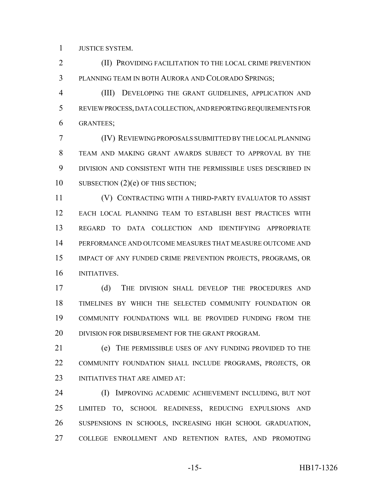JUSTICE SYSTEM.

 (II) PROVIDING FACILITATION TO THE LOCAL CRIME PREVENTION PLANNING TEAM IN BOTH AURORA AND COLORADO SPRINGS;

 (III) DEVELOPING THE GRANT GUIDELINES, APPLICATION AND REVIEW PROCESS, DATA COLLECTION, AND REPORTING REQUIREMENTS FOR GRANTEES;

 (IV) REVIEWING PROPOSALS SUBMITTED BY THE LOCAL PLANNING TEAM AND MAKING GRANT AWARDS SUBJECT TO APPROVAL BY THE DIVISION AND CONSISTENT WITH THE PERMISSIBLE USES DESCRIBED IN 10 SUBSECTION (2)(e) OF THIS SECTION;

 (V) CONTRACTING WITH A THIRD-PARTY EVALUATOR TO ASSIST EACH LOCAL PLANNING TEAM TO ESTABLISH BEST PRACTICES WITH REGARD TO DATA COLLECTION AND IDENTIFYING APPROPRIATE PERFORMANCE AND OUTCOME MEASURES THAT MEASURE OUTCOME AND IMPACT OF ANY FUNDED CRIME PREVENTION PROJECTS, PROGRAMS, OR INITIATIVES.

 (d) THE DIVISION SHALL DEVELOP THE PROCEDURES AND TIMELINES BY WHICH THE SELECTED COMMUNITY FOUNDATION OR COMMUNITY FOUNDATIONS WILL BE PROVIDED FUNDING FROM THE 20 DIVISION FOR DISBURSEMENT FOR THE GRANT PROGRAM.

 (e) THE PERMISSIBLE USES OF ANY FUNDING PROVIDED TO THE COMMUNITY FOUNDATION SHALL INCLUDE PROGRAMS, PROJECTS, OR 23 INITIATIVES THAT ARE AIMED AT:

 (I) IMPROVING ACADEMIC ACHIEVEMENT INCLUDING, BUT NOT LIMITED TO, SCHOOL READINESS, REDUCING EXPULSIONS AND SUSPENSIONS IN SCHOOLS, INCREASING HIGH SCHOOL GRADUATION, COLLEGE ENROLLMENT AND RETENTION RATES, AND PROMOTING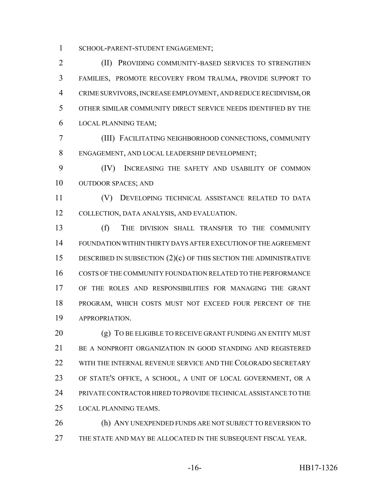SCHOOL-PARENT-STUDENT ENGAGEMENT;

 (II) PROVIDING COMMUNITY-BASED SERVICES TO STRENGTHEN FAMILIES, PROMOTE RECOVERY FROM TRAUMA, PROVIDE SUPPORT TO CRIME SURVIVORS, INCREASE EMPLOYMENT, AND REDUCE RECIDIVISM, OR OTHER SIMILAR COMMUNITY DIRECT SERVICE NEEDS IDENTIFIED BY THE LOCAL PLANNING TEAM;

 (III) FACILITATING NEIGHBORHOOD CONNECTIONS, COMMUNITY ENGAGEMENT, AND LOCAL LEADERSHIP DEVELOPMENT;

 (IV) INCREASING THE SAFETY AND USABILITY OF COMMON OUTDOOR SPACES; AND

 (V) DEVELOPING TECHNICAL ASSISTANCE RELATED TO DATA COLLECTION, DATA ANALYSIS, AND EVALUATION.

 (f) THE DIVISION SHALL TRANSFER TO THE COMMUNITY FOUNDATION WITHIN THIRTY DAYS AFTER EXECUTION OF THE AGREEMENT DESCRIBED IN SUBSECTION (2)(c) OF THIS SECTION THE ADMINISTRATIVE COSTS OF THE COMMUNITY FOUNDATION RELATED TO THE PERFORMANCE OF THE ROLES AND RESPONSIBILITIES FOR MANAGING THE GRANT PROGRAM, WHICH COSTS MUST NOT EXCEED FOUR PERCENT OF THE APPROPRIATION.

20 (g) TO BE ELIGIBLE TO RECEIVE GRANT FUNDING AN ENTITY MUST BE A NONPROFIT ORGANIZATION IN GOOD STANDING AND REGISTERED WITH THE INTERNAL REVENUE SERVICE AND THE COLORADO SECRETARY OF STATE'S OFFICE, A SCHOOL, A UNIT OF LOCAL GOVERNMENT, OR A PRIVATE CONTRACTOR HIRED TO PROVIDE TECHNICAL ASSISTANCE TO THE LOCAL PLANNING TEAMS.

 (h) ANY UNEXPENDED FUNDS ARE NOT SUBJECT TO REVERSION TO THE STATE AND MAY BE ALLOCATED IN THE SUBSEQUENT FISCAL YEAR.